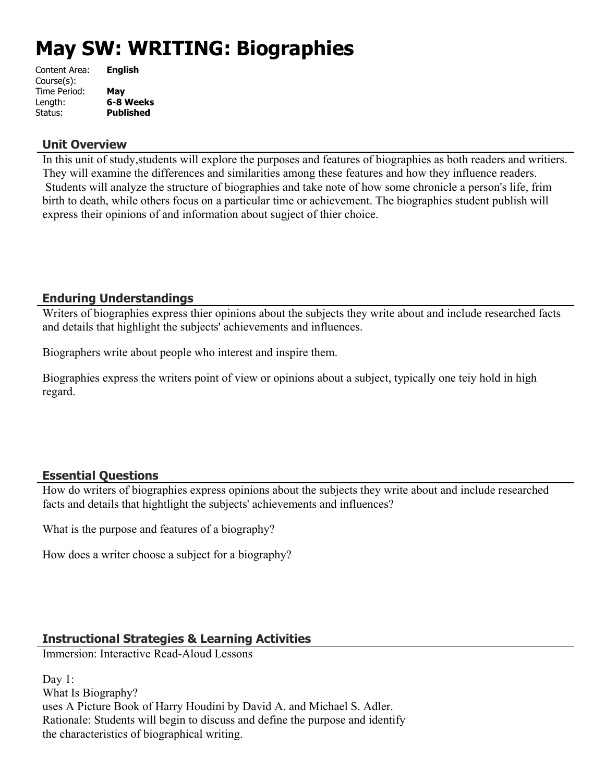# **May SW: WRITING: Biographies**

| Content Area: | <b>English</b>   |
|---------------|------------------|
| Course(s):    |                  |
| Time Period:  | May              |
| Length:       | 6-8 Weeks        |
| Status:       | <b>Published</b> |
|               |                  |

#### **Unit Overview**

In this unit of study,students will explore the purposes and features of biographies as both readers and writiers. They will examine the differences and similarities among these features and how they influence readers. Students will analyze the structure of biographies and take note of how some chronicle a person's life, frim birth to death, while others focus on a particular time or achievement. The biographies student publish will express their opinions of and information about sugject of thier choice.

## **Enduring Understandings**

Writers of biographies express thier opinions about the subjects they write about and include researched facts and details that highlight the subjects' achievements and influences.

Biographers write about people who interest and inspire them.

Biographies express the writers point of view or opinions about a subject, typically one teiy hold in high regard.

## **Essential Questions**

How do writers of biographies express opinions about the subjects they write about and include researched facts and details that hightlight the subjects' achievements and influences?

What is the purpose and features of a biography?

How does a writer choose a subject for a biography?

## **Instructional Strategies & Learning Activities**

Immersion: Interactive Read-Aloud Lessons

Day 1: What Is Biography? uses A Picture Book of Harry Houdini by David A. and Michael S. Adler. Rationale: Students will begin to discuss and define the purpose and identify the characteristics of biographical writing.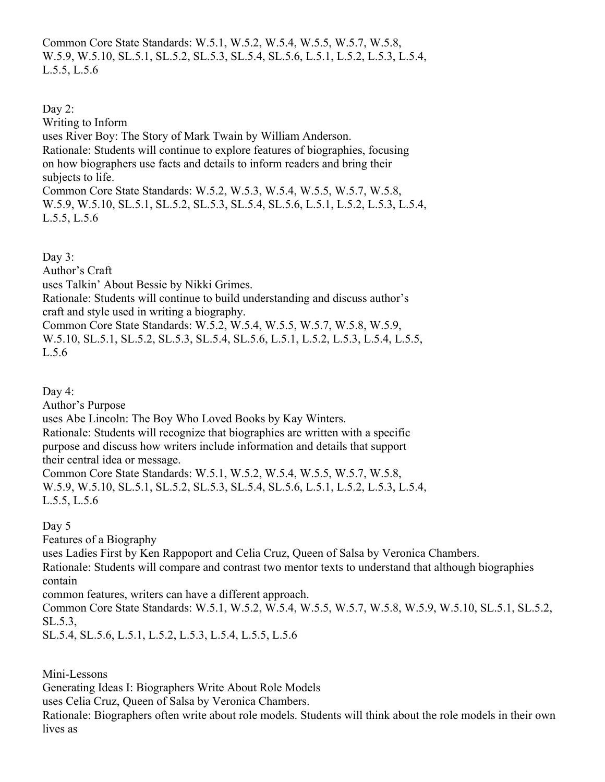Common Core State Standards: W.5.1, W.5.2, W.5.4, W.5.5, W.5.7, W.5.8, W.5.9, W.5.10, SL.5.1, SL.5.2, SL.5.3, SL.5.4, SL.5.6, L.5.1, L.5.2, L.5.3, L.5.4, L.5.5, L.5.6

Day 2: Writing to Inform uses River Boy: The Story of Mark Twain by William Anderson. Rationale: Students will continue to explore features of biographies, focusing on how biographers use facts and details to inform readers and bring their subjects to life. Common Core State Standards: W.5.2, W.5.3, W.5.4, W.5.5, W.5.7, W.5.8, W.5.9, W.5.10, SL.5.1, SL.5.2, SL.5.3, SL.5.4, SL.5.6, L.5.1, L.5.2, L.5.3, L.5.4, L.5.5, L.5.6

Day  $3$ : Author's Craft uses Talkin' About Bessie by Nikki Grimes. Rationale: Students will continue to build understanding and discuss author's craft and style used in writing a biography. Common Core State Standards: W.5.2, W.5.4, W.5.5, W.5.7, W.5.8, W.5.9, W.5.10, SL.5.1, SL.5.2, SL.5.3, SL.5.4, SL.5.6, L.5.1, L.5.2, L.5.3, L.5.4, L.5.5, L.5.6

Day 4:

Author's Purpose uses Abe Lincoln: The Boy Who Loved Books by Kay Winters. Rationale: Students will recognize that biographies are written with a specific purpose and discuss how writers include information and details that support their central idea or message. Common Core State Standards: W.5.1, W.5.2, W.5.4, W.5.5, W.5.7, W.5.8,

W.5.9, W.5.10, SL.5.1, SL.5.2, SL.5.3, SL.5.4, SL.5.6, L.5.1, L.5.2, L.5.3, L.5.4, L.5.5, L.5.6

Day 5

Features of a Biography

uses Ladies First by Ken Rappoport and Celia Cruz, Queen of Salsa by Veronica Chambers. Rationale: Students will compare and contrast two mentor texts to understand that although biographies contain

common features, writers can have a different approach.

Common Core State Standards: W.5.1, W.5.2, W.5.4, W.5.5, W.5.7, W.5.8, W.5.9, W.5.10, SL.5.1, SL.5.2, SL.5.3,

SL.5.4, SL.5.6, L.5.1, L.5.2, L.5.3, L.5.4, L.5.5, L.5.6

Mini-Lessons

Generating Ideas I: Biographers Write About Role Models

uses Celia Cruz, Queen of Salsa by Veronica Chambers.

Rationale: Biographers often write about role models. Students will think about the role models in their own lives as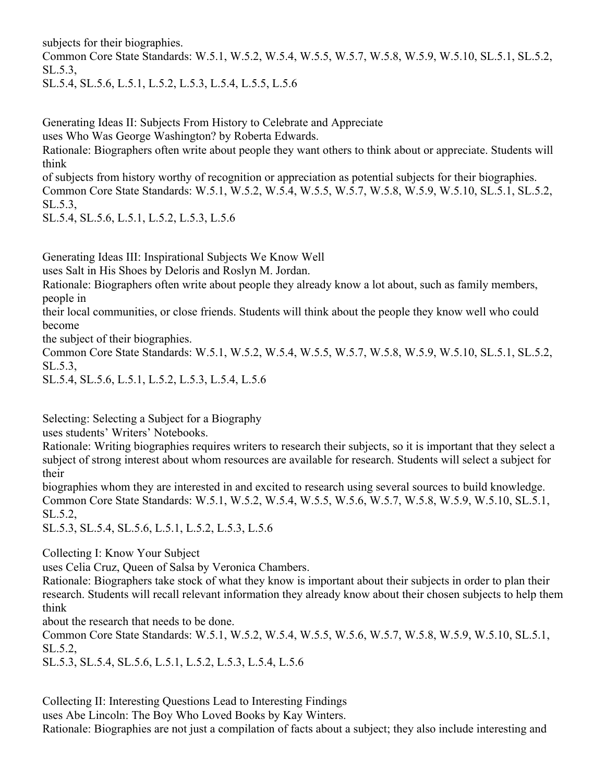subjects for their biographies.

Common Core State Standards: W.5.1, W.5.2, W.5.4, W.5.5, W.5.7, W.5.8, W.5.9, W.5.10, SL.5.1, SL.5.2, SL.5.3,

SL.5.4, SL.5.6, L.5.1, L.5.2, L.5.3, L.5.4, L.5.5, L.5.6

Generating Ideas II: Subjects From History to Celebrate and Appreciate

uses Who Was George Washington? by Roberta Edwards.

Rationale: Biographers often write about people they want others to think about or appreciate. Students will think

of subjects from history worthy of recognition or appreciation as potential subjects for their biographies. Common Core State Standards: W.5.1, W.5.2, W.5.4, W.5.5, W.5.7, W.5.8, W.5.9, W.5.10, SL.5.1, SL.5.2, SL.5.3,

SL.5.4, SL.5.6, L.5.1, L.5.2, L.5.3, L.5.6

Generating Ideas III: Inspirational Subjects We Know Well

uses Salt in His Shoes by Deloris and Roslyn M. Jordan.

Rationale: Biographers often write about people they already know a lot about, such as family members, people in

their local communities, or close friends. Students will think about the people they know well who could become

the subject of their biographies.

Common Core State Standards: W.5.1, W.5.2, W.5.4, W.5.5, W.5.7, W.5.8, W.5.9, W.5.10, SL.5.1, SL.5.2, SL.5.3,

SL.5.4, SL.5.6, L.5.1, L.5.2, L.5.3, L.5.4, L.5.6

Selecting: Selecting a Subject for a Biography

uses students' Writers' Notebooks.

Rationale: Writing biographies requires writers to research their subjects, so it is important that they select a subject of strong interest about whom resources are available for research. Students will select a subject for their

biographies whom they are interested in and excited to research using several sources to build knowledge. Common Core State Standards: W.5.1, W.5.2, W.5.4, W.5.5, W.5.6, W.5.7, W.5.8, W.5.9, W.5.10, SL.5.1, SL.5.2,

SL.5.3, SL.5.4, SL.5.6, L.5.1, L.5.2, L.5.3, L.5.6

Collecting I: Know Your Subject

uses Celia Cruz, Queen of Salsa by Veronica Chambers.

Rationale: Biographers take stock of what they know is important about their subjects in order to plan their research. Students will recall relevant information they already know about their chosen subjects to help them think

about the research that needs to be done.

Common Core State Standards: W.5.1, W.5.2, W.5.4, W.5.5, W.5.6, W.5.7, W.5.8, W.5.9, W.5.10, SL.5.1, SL.5.2,

SL.5.3, SL.5.4, SL.5.6, L.5.1, L.5.2, L.5.3, L.5.4, L.5.6

Collecting II: Interesting Questions Lead to Interesting Findings

uses Abe Lincoln: The Boy Who Loved Books by Kay Winters.

Rationale: Biographies are not just a compilation of facts about a subject; they also include interesting and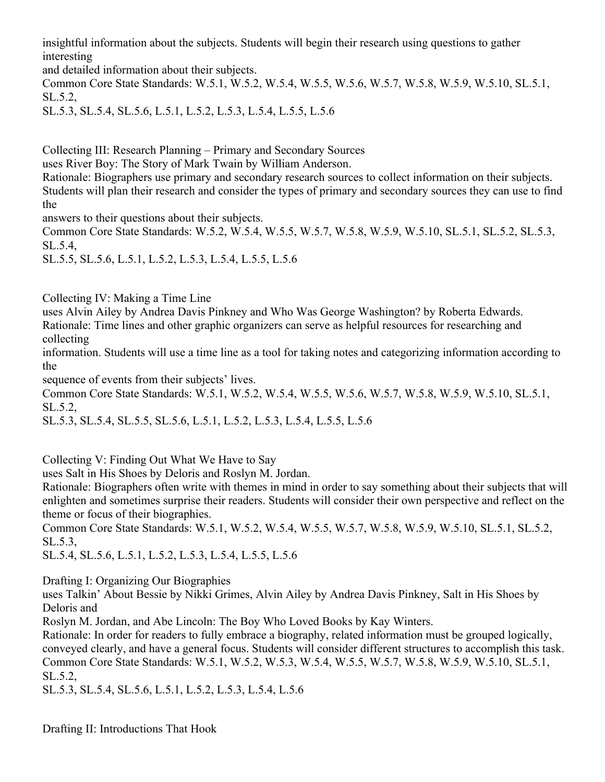insightful information about the subjects. Students will begin their research using questions to gather interesting

and detailed information about their subjects.

Common Core State Standards: W.5.1, W.5.2, W.5.4, W.5.5, W.5.6, W.5.7, W.5.8, W.5.9, W.5.10, SL.5.1, SL.5.2,

SL.5.3, SL.5.4, SL.5.6, L.5.1, L.5.2, L.5.3, L.5.4, L.5.5, L.5.6

Collecting III: Research Planning – Primary and Secondary Sources

uses River Boy: The Story of Mark Twain by William Anderson.

Rationale: Biographers use primary and secondary research sources to collect information on their subjects. Students will plan their research and consider the types of primary and secondary sources they can use to find the

answers to their questions about their subjects.

Common Core State Standards: W.5.2, W.5.4, W.5.5, W.5.7, W.5.8, W.5.9, W.5.10, SL.5.1, SL.5.2, SL.5.3, SL.5.4,

SL.5.5, SL.5.6, L.5.1, L.5.2, L.5.3, L.5.4, L.5.5, L.5.6

Collecting IV: Making a Time Line

uses Alvin Ailey by Andrea Davis Pinkney and Who Was George Washington? by Roberta Edwards. Rationale: Time lines and other graphic organizers can serve as helpful resources for researching and collecting

information. Students will use a time line as a tool for taking notes and categorizing information according to the

sequence of events from their subjects' lives.

Common Core State Standards: W.5.1, W.5.2, W.5.4, W.5.5, W.5.6, W.5.7, W.5.8, W.5.9, W.5.10, SL.5.1, SL.5.2,

SL.5.3, SL.5.4, SL.5.5, SL.5.6, L.5.1, L.5.2, L.5.3, L.5.4, L.5.5, L.5.6

Collecting V: Finding Out What We Have to Say

uses Salt in His Shoes by Deloris and Roslyn M. Jordan.

Rationale: Biographers often write with themes in mind in order to say something about their subjects that will enlighten and sometimes surprise their readers. Students will consider their own perspective and reflect on the theme or focus of their biographies.

Common Core State Standards: W.5.1, W.5.2, W.5.4, W.5.5, W.5.7, W.5.8, W.5.9, W.5.10, SL.5.1, SL.5.2, SL.5.3,

SL.5.4, SL.5.6, L.5.1, L.5.2, L.5.3, L.5.4, L.5.5, L.5.6

Drafting I: Organizing Our Biographies

uses Talkin' About Bessie by Nikki Grimes, Alvin Ailey by Andrea Davis Pinkney, Salt in His Shoes by Deloris and

Roslyn M. Jordan, and Abe Lincoln: The Boy Who Loved Books by Kay Winters.

Rationale: In order for readers to fully embrace a biography, related information must be grouped logically, conveyed clearly, and have a general focus. Students will consider different structures to accomplish this task. Common Core State Standards: W.5.1, W.5.2, W.5.3, W.5.4, W.5.5, W.5.7, W.5.8, W.5.9, W.5.10, SL.5.1, SL.5.2,

SL.5.3, SL.5.4, SL.5.6, L.5.1, L.5.2, L.5.3, L.5.4, L.5.6

Drafting II: Introductions That Hook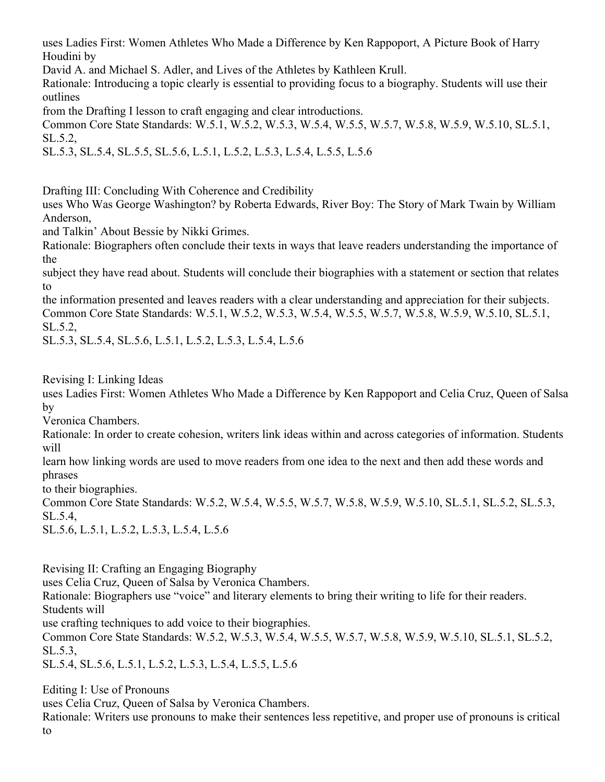uses Ladies First: Women Athletes Who Made a Difference by Ken Rappoport, A Picture Book of Harry Houdini by

David A. and Michael S. Adler, and Lives of the Athletes by Kathleen Krull.

Rationale: Introducing a topic clearly is essential to providing focus to a biography. Students will use their outlines

from the Drafting I lesson to craft engaging and clear introductions.

Common Core State Standards: W.5.1, W.5.2, W.5.3, W.5.4, W.5.5, W.5.7, W.5.8, W.5.9, W.5.10, SL.5.1, SL.5.2,

SL.5.3, SL.5.4, SL.5.5, SL.5.6, L.5.1, L.5.2, L.5.3, L.5.4, L.5.5, L.5.6

Drafting III: Concluding With Coherence and Credibility

uses Who Was George Washington? by Roberta Edwards, River Boy: The Story of Mark Twain by William Anderson,

and Talkin' About Bessie by Nikki Grimes.

Rationale: Biographers often conclude their texts in ways that leave readers understanding the importance of the

subject they have read about. Students will conclude their biographies with a statement or section that relates to

the information presented and leaves readers with a clear understanding and appreciation for their subjects. Common Core State Standards: W.5.1, W.5.2, W.5.3, W.5.4, W.5.5, W.5.7, W.5.8, W.5.9, W.5.10, SL.5.1, SL.5.2,

SL.5.3, SL.5.4, SL.5.6, L.5.1, L.5.2, L.5.3, L.5.4, L.5.6

Revising I: Linking Ideas

uses Ladies First: Women Athletes Who Made a Difference by Ken Rappoport and Celia Cruz, Queen of Salsa by

Veronica Chambers.

Rationale: In order to create cohesion, writers link ideas within and across categories of information. Students will

learn how linking words are used to move readers from one idea to the next and then add these words and phrases

to their biographies.

Common Core State Standards: W.5.2, W.5.4, W.5.5, W.5.7, W.5.8, W.5.9, W.5.10, SL.5.1, SL.5.2, SL.5.3, SL.5.4,

SL.5.6, L.5.1, L.5.2, L.5.3, L.5.4, L.5.6

Revising II: Crafting an Engaging Biography

uses Celia Cruz, Queen of Salsa by Veronica Chambers.

Rationale: Biographers use "voice" and literary elements to bring their writing to life for their readers. Students will

use crafting techniques to add voice to their biographies.

Common Core State Standards: W.5.2, W.5.3, W.5.4, W.5.5, W.5.7, W.5.8, W.5.9, W.5.10, SL.5.1, SL.5.2, SL.5.3,

SL.5.4, SL.5.6, L.5.1, L.5.2, L.5.3, L.5.4, L.5.5, L.5.6

Editing I: Use of Pronouns

uses Celia Cruz, Queen of Salsa by Veronica Chambers.

Rationale: Writers use pronouns to make their sentences less repetitive, and proper use of pronouns is critical to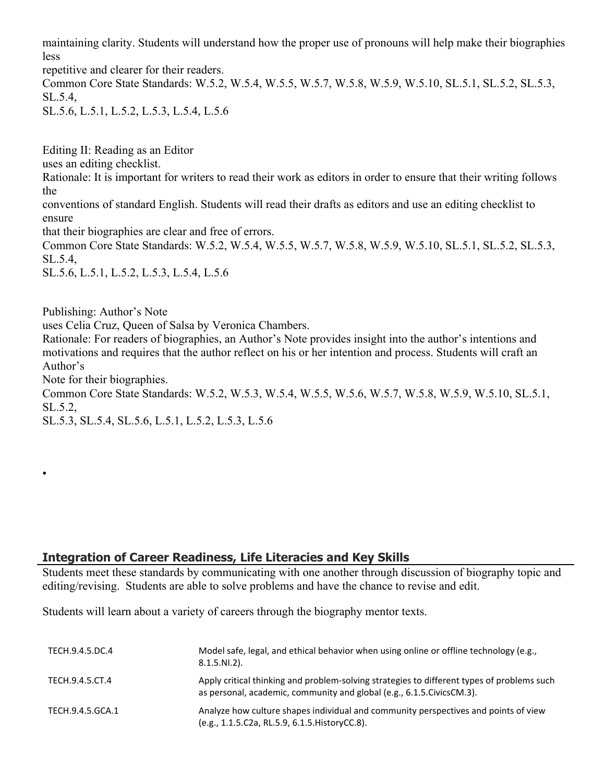maintaining clarity. Students will understand how the proper use of pronouns will help make their biographies less

repetitive and clearer for their readers. Common Core State Standards: W.5.2, W.5.4, W.5.5, W.5.7, W.5.8, W.5.9, W.5.10, SL.5.1, SL.5.2, SL.5.3, SL.5.4, SL.5.6, L.5.1, L.5.2, L.5.3, L.5.4, L.5.6

Editing II: Reading as an Editor uses an editing checklist. Rationale: It is important for writers to read their work as editors in order to ensure that their writing follows the conventions of standard English. Students will read their drafts as editors and use an editing checklist to

that their biographies are clear and free of errors.

Common Core State Standards: W.5.2, W.5.4, W.5.5, W.5.7, W.5.8, W.5.9, W.5.10, SL.5.1, SL.5.2, SL.5.3, SL.5.4,

SL.5.6, L.5.1, L.5.2, L.5.3, L.5.4, L.5.6

Publishing: Author's Note

ensure

•

uses Celia Cruz, Queen of Salsa by Veronica Chambers.

Rationale: For readers of biographies, an Author's Note provides insight into the author's intentions and motivations and requires that the author reflect on his or her intention and process. Students will craft an Author's

Note for their biographies.

Common Core State Standards: W.5.2, W.5.3, W.5.4, W.5.5, W.5.6, W.5.7, W.5.8, W.5.9, W.5.10, SL.5.1, SL.5.2,

SL.5.3, SL.5.4, SL.5.6, L.5.1, L.5.2, L.5.3, L.5.6

## **Integration of Career Readiness, Life Literacies and Key Skills**

Students meet these standards by communicating with one another through discussion of biography topic and editing/revising. Students are able to solve problems and have the chance to revise and edit.

Students will learn about a variety of careers through the biography mentor texts.

| TECH.9.4.5.DC.4  | Model safe, legal, and ethical behavior when using online or offline technology (e.g.,<br>$8.1.5.NI.2$ ).                                                             |
|------------------|-----------------------------------------------------------------------------------------------------------------------------------------------------------------------|
| TECH.9.4.5.CT.4  | Apply critical thinking and problem-solving strategies to different types of problems such<br>as personal, academic, community and global (e.g., 6.1.5. Civics CM.3). |
| TECH.9.4.5.GCA.1 | Analyze how culture shapes individual and community perspectives and points of view<br>(e.g., 1.1.5.C2a, RL.5.9, 6.1.5. HistoryCC.8).                                 |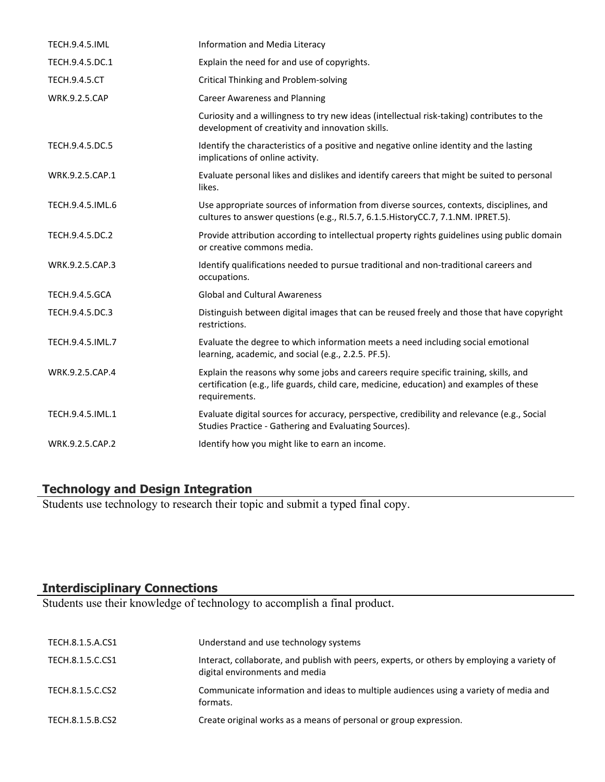| <b>TECH.9.4.5.IML</b> | Information and Media Literacy                                                                                                                                                                    |
|-----------------------|---------------------------------------------------------------------------------------------------------------------------------------------------------------------------------------------------|
| TECH.9.4.5.DC.1       | Explain the need for and use of copyrights.                                                                                                                                                       |
| <b>TECH.9.4.5.CT</b>  | Critical Thinking and Problem-solving                                                                                                                                                             |
| <b>WRK.9.2.5.CAP</b>  | <b>Career Awareness and Planning</b>                                                                                                                                                              |
|                       | Curiosity and a willingness to try new ideas (intellectual risk-taking) contributes to the<br>development of creativity and innovation skills.                                                    |
| TECH.9.4.5.DC.5       | Identify the characteristics of a positive and negative online identity and the lasting<br>implications of online activity.                                                                       |
| WRK.9.2.5.CAP.1       | Evaluate personal likes and dislikes and identify careers that might be suited to personal<br>likes.                                                                                              |
| TECH.9.4.5.IML.6      | Use appropriate sources of information from diverse sources, contexts, disciplines, and<br>cultures to answer questions (e.g., RI.5.7, 6.1.5. HistoryCC.7, 7.1.NM. IPRET.5).                      |
| TECH.9.4.5.DC.2       | Provide attribution according to intellectual property rights guidelines using public domain<br>or creative commons media.                                                                        |
| WRK.9.2.5.CAP.3       | Identify qualifications needed to pursue traditional and non-traditional careers and<br>occupations.                                                                                              |
| <b>TECH.9.4.5.GCA</b> | <b>Global and Cultural Awareness</b>                                                                                                                                                              |
| TECH.9.4.5.DC.3       | Distinguish between digital images that can be reused freely and those that have copyright<br>restrictions.                                                                                       |
| TECH.9.4.5.IML.7      | Evaluate the degree to which information meets a need including social emotional<br>learning, academic, and social (e.g., 2.2.5. PF.5).                                                           |
| WRK.9.2.5.CAP.4       | Explain the reasons why some jobs and careers require specific training, skills, and<br>certification (e.g., life guards, child care, medicine, education) and examples of these<br>requirements. |
| TECH.9.4.5.IML.1      | Evaluate digital sources for accuracy, perspective, credibility and relevance (e.g., Social<br>Studies Practice - Gathering and Evaluating Sources).                                              |
| WRK.9.2.5.CAP.2       | Identify how you might like to earn an income.                                                                                                                                                    |

#### **Technology and Design Integration**

Students use technology to research their topic and submit a typed final copy.

# **Interdisciplinary Connections**

Students use their knowledge of technology to accomplish a final product.

| TECH.8.1.5.A.CS1 | Understand and use technology systems                                                                                         |
|------------------|-------------------------------------------------------------------------------------------------------------------------------|
| TECH.8.1.5.C.CS1 | Interact, collaborate, and publish with peers, experts, or others by employing a variety of<br>digital environments and media |
| TECH.8.1.5.C.CS2 | Communicate information and ideas to multiple audiences using a variety of media and<br>formats.                              |
| TECH.8.1.5.B.CS2 | Create original works as a means of personal or group expression.                                                             |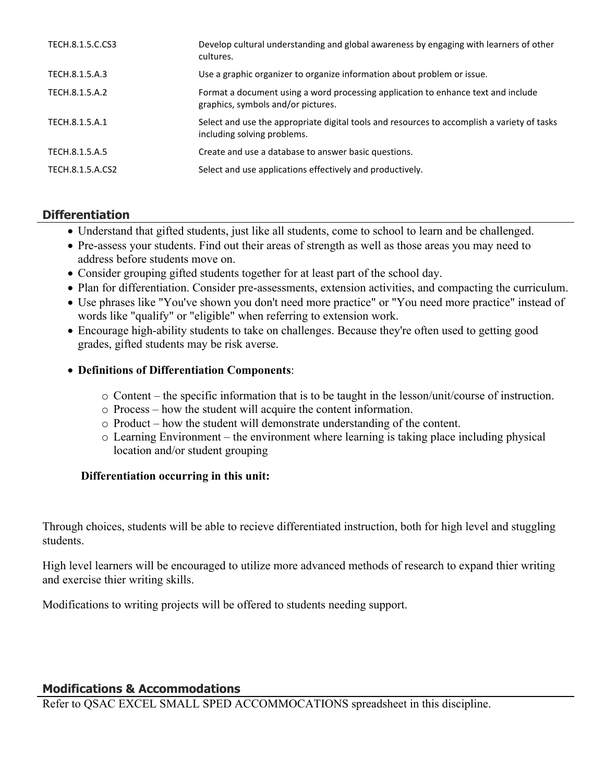| TECH.8.1.5.C.CS3 | Develop cultural understanding and global awareness by engaging with learners of other<br>cultures.                        |
|------------------|----------------------------------------------------------------------------------------------------------------------------|
| TECH.8.1.5.A.3   | Use a graphic organizer to organize information about problem or issue.                                                    |
| TECH.8.1.5.A.2   | Format a document using a word processing application to enhance text and include<br>graphics, symbols and/or pictures.    |
| TECH.8.1.5.A.1   | Select and use the appropriate digital tools and resources to accomplish a variety of tasks<br>including solving problems. |
| TECH.8.1.5.A.5   | Create and use a database to answer basic questions.                                                                       |
| TECH.8.1.5.A.CS2 | Select and use applications effectively and productively.                                                                  |

## **Differentiation**

- Understand that gifted students, just like all students, come to school to learn and be challenged.
- Pre-assess your students. Find out their areas of strength as well as those areas you may need to address before students move on.
- Consider grouping gifted students together for at least part of the school day.
- Plan for differentiation. Consider pre-assessments, extension activities, and compacting the curriculum.
- Use phrases like "You've shown you don't need more practice" or "You need more practice" instead of words like "qualify" or "eligible" when referring to extension work.
- Encourage high-ability students to take on challenges. Because they're often used to getting good grades, gifted students may be risk averse.

### **Definitions of Differentiation Components**:

- o Content the specific information that is to be taught in the lesson/unit/course of instruction.
- o Process how the student will acquire the content information.
- o Product how the student will demonstrate understanding of the content.
- o Learning Environment the environment where learning is taking place including physical location and/or student grouping

#### **Differentiation occurring in this unit:**

Through choices, students will be able to recieve differentiated instruction, both for high level and stuggling students.

High level learners will be encouraged to utilize more advanced methods of research to expand thier writing and exercise thier writing skills.

Modifications to writing projects will be offered to students needing support.

## **Modifications & Accommodations**

Refer to QSAC EXCEL SMALL SPED ACCOMMOCATIONS spreadsheet in this discipline.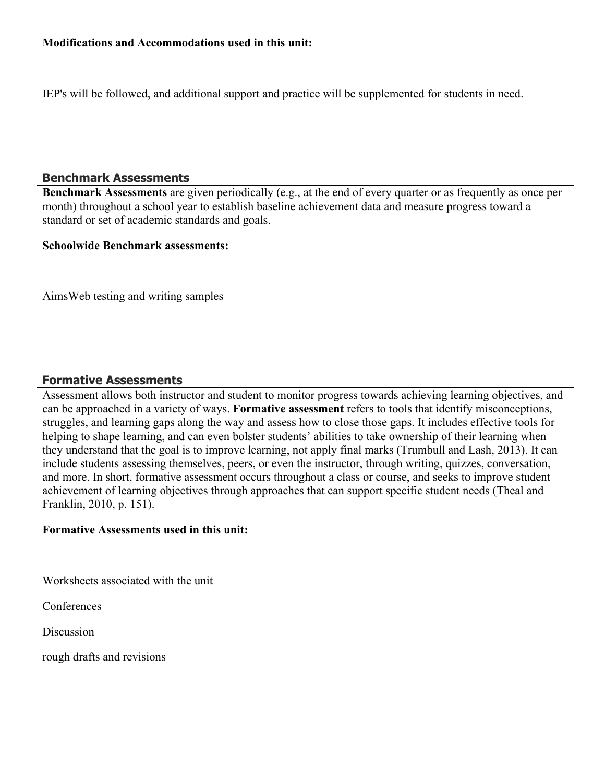#### **Modifications and Accommodations used in this unit:**

IEP's will be followed, and additional support and practice will be supplemented for students in need.

#### **Benchmark Assessments**

**Benchmark Assessments** are given periodically (e.g., at the end of every quarter or as frequently as once per month) throughout a school year to establish baseline achievement data and measure progress toward a standard or set of academic standards and goals.

#### **Schoolwide Benchmark assessments:**

AimsWeb testing and writing samples

#### **Formative Assessments**

Assessment allows both instructor and student to monitor progress towards achieving learning objectives, and can be approached in a variety of ways. **Formative assessment** refers to tools that identify misconceptions, struggles, and learning gaps along the way and assess how to close those gaps. It includes effective tools for helping to shape learning, and can even bolster students' abilities to take ownership of their learning when they understand that the goal is to improve learning, not apply final marks (Trumbull and Lash, 2013). It can include students assessing themselves, peers, or even the instructor, through writing, quizzes, conversation, and more. In short, formative assessment occurs throughout a class or course, and seeks to improve student achievement of learning objectives through approaches that can support specific student needs (Theal and Franklin, 2010, p. 151).

#### **Formative Assessments used in this unit:**

Worksheets associated with the unit

**Conferences** 

**Discussion** 

rough drafts and revisions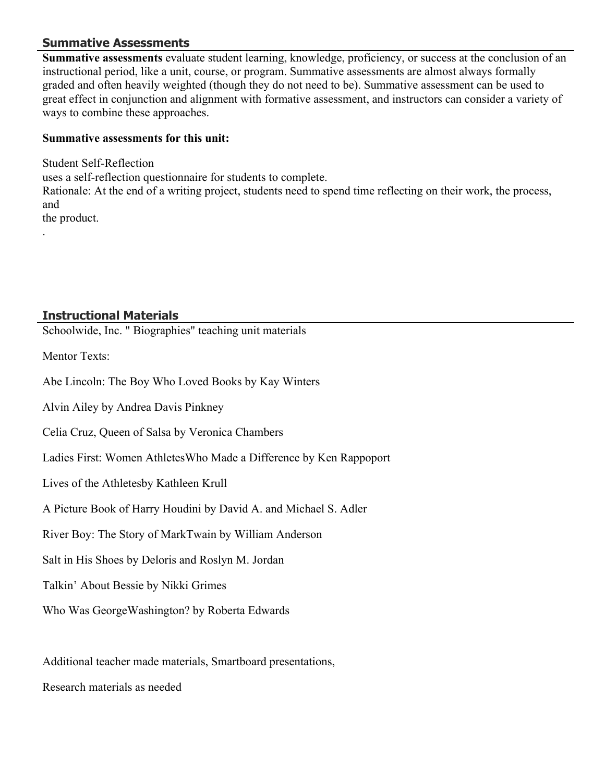### **Summative Assessments**

**Summative assessments** evaluate student learning, knowledge, proficiency, or success at the conclusion of an instructional period, like a unit, course, or program. Summative assessments are almost always formally graded and often heavily weighted (though they do not need to be). Summative assessment can be used to great effect in conjunction and alignment with formative assessment, and instructors can consider a variety of ways to combine these approaches.

### **Summative assessments for this unit:**

Student Self-Reflection uses a self-reflection questionnaire for students to complete. Rationale: At the end of a writing project, students need to spend time reflecting on their work, the process, and the product. .

### **Instructional Materials**

Schoolwide, Inc. " Biographies" teaching unit materials

Mentor Texts:

Abe Lincoln: The Boy Who Loved Books by Kay Winters

Alvin Ailey by Andrea Davis Pinkney

Celia Cruz, Queen of Salsa by Veronica Chambers

Ladies First: Women AthletesWho Made a Difference by Ken Rappoport

Lives of the Athletesby Kathleen Krull

A Picture Book of Harry Houdini by David A. and Michael S. Adler

River Boy: The Story of MarkTwain by William Anderson

Salt in His Shoes by Deloris and Roslyn M. Jordan

Talkin' About Bessie by Nikki Grimes

Who Was GeorgeWashington? by Roberta Edwards

Additional teacher made materials, Smartboard presentations,

Research materials as needed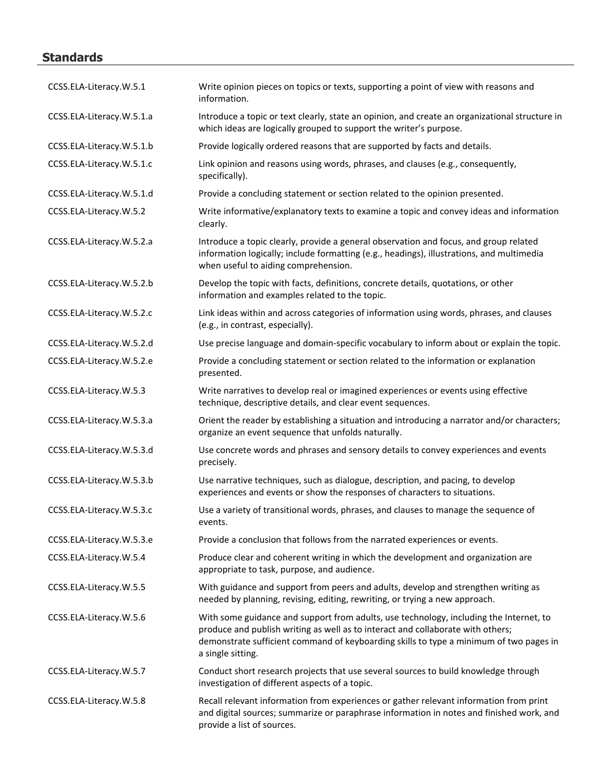# **Standards**

| CCSS.ELA-Literacy.W.5.1   | Write opinion pieces on topics or texts, supporting a point of view with reasons and<br>information.                                                                                                                                                                                     |
|---------------------------|------------------------------------------------------------------------------------------------------------------------------------------------------------------------------------------------------------------------------------------------------------------------------------------|
| CCSS.ELA-Literacy.W.5.1.a | Introduce a topic or text clearly, state an opinion, and create an organizational structure in<br>which ideas are logically grouped to support the writer's purpose.                                                                                                                     |
| CCSS.ELA-Literacy.W.5.1.b | Provide logically ordered reasons that are supported by facts and details.                                                                                                                                                                                                               |
| CCSS.ELA-Literacy.W.5.1.c | Link opinion and reasons using words, phrases, and clauses (e.g., consequently,<br>specifically).                                                                                                                                                                                        |
| CCSS.ELA-Literacy.W.5.1.d | Provide a concluding statement or section related to the opinion presented.                                                                                                                                                                                                              |
| CCSS.ELA-Literacy.W.5.2   | Write informative/explanatory texts to examine a topic and convey ideas and information<br>clearly.                                                                                                                                                                                      |
| CCSS.ELA-Literacy.W.5.2.a | Introduce a topic clearly, provide a general observation and focus, and group related<br>information logically; include formatting (e.g., headings), illustrations, and multimedia<br>when useful to aiding comprehension.                                                               |
| CCSS.ELA-Literacy.W.5.2.b | Develop the topic with facts, definitions, concrete details, quotations, or other<br>information and examples related to the topic.                                                                                                                                                      |
| CCSS.ELA-Literacy.W.5.2.c | Link ideas within and across categories of information using words, phrases, and clauses<br>(e.g., in contrast, especially).                                                                                                                                                             |
| CCSS.ELA-Literacy.W.5.2.d | Use precise language and domain-specific vocabulary to inform about or explain the topic.                                                                                                                                                                                                |
| CCSS.ELA-Literacy.W.5.2.e | Provide a concluding statement or section related to the information or explanation<br>presented.                                                                                                                                                                                        |
| CCSS.ELA-Literacy.W.5.3   | Write narratives to develop real or imagined experiences or events using effective<br>technique, descriptive details, and clear event sequences.                                                                                                                                         |
| CCSS.ELA-Literacy.W.5.3.a | Orient the reader by establishing a situation and introducing a narrator and/or characters;<br>organize an event sequence that unfolds naturally.                                                                                                                                        |
| CCSS.ELA-Literacy.W.5.3.d | Use concrete words and phrases and sensory details to convey experiences and events<br>precisely.                                                                                                                                                                                        |
| CCSS.ELA-Literacy.W.5.3.b | Use narrative techniques, such as dialogue, description, and pacing, to develop<br>experiences and events or show the responses of characters to situations.                                                                                                                             |
| CCSS.ELA-Literacy.W.5.3.c | Use a variety of transitional words, phrases, and clauses to manage the sequence of<br>events.                                                                                                                                                                                           |
| CCSS.ELA-Literacy.W.5.3.e | Provide a conclusion that follows from the narrated experiences or events.                                                                                                                                                                                                               |
| CCSS.ELA-Literacy.W.5.4   | Produce clear and coherent writing in which the development and organization are<br>appropriate to task, purpose, and audience.                                                                                                                                                          |
| CCSS.ELA-Literacy.W.5.5   | With guidance and support from peers and adults, develop and strengthen writing as<br>needed by planning, revising, editing, rewriting, or trying a new approach.                                                                                                                        |
| CCSS.ELA-Literacy.W.5.6   | With some guidance and support from adults, use technology, including the Internet, to<br>produce and publish writing as well as to interact and collaborate with others;<br>demonstrate sufficient command of keyboarding skills to type a minimum of two pages in<br>a single sitting. |
| CCSS.ELA-Literacy.W.5.7   | Conduct short research projects that use several sources to build knowledge through<br>investigation of different aspects of a topic.                                                                                                                                                    |
| CCSS.ELA-Literacy.W.5.8   | Recall relevant information from experiences or gather relevant information from print<br>and digital sources; summarize or paraphrase information in notes and finished work, and<br>provide a list of sources.                                                                         |